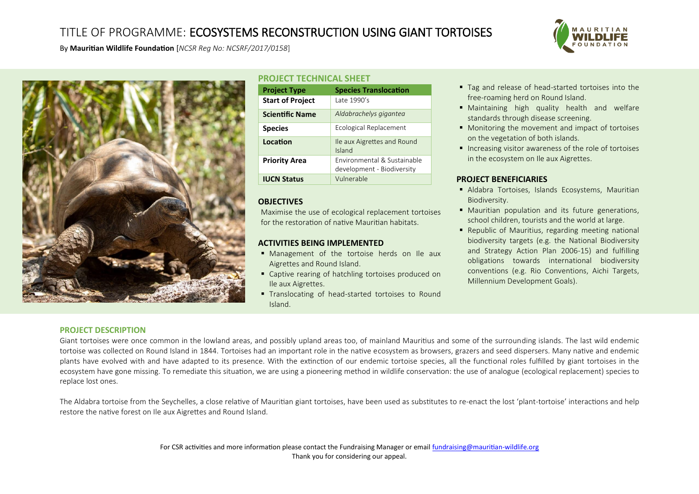## TITLE OF PROGRAMME: ECOSYSTEMS RECONSTRUCTION USING GIANT TORTOISES



By **Mauritian Wildlife Foundation** [*NCSR Reg No: NCSRF/2017/0158*]



### **PROJECT TECHNICAL SHEET**

| <b>Project Type</b>     | <b>Species Translocation</b>                              |
|-------------------------|-----------------------------------------------------------|
| <b>Start of Project</b> | Late 1990's                                               |
| <b>Scientific Name</b>  | Aldabrachelys giganted                                    |
| <b>Species</b>          | Ecological Replacement                                    |
| Location                | Ile aux Aigrettes and Round<br>Island                     |
| <b>Priority Area</b>    | Environmental & Sustainable<br>development - Biodiversity |
| <b>IUCN Status</b>      | Vulnerable                                                |

### **OBJECTIVES**

Maximise the use of ecological replacement tortoises for the restoration of native Mauritian habitats.

### **ACTIVITIES BEING IMPLEMENTED**

- **Management of the tortoise herds on Ile aux** Aigrettes and Round Island.
- Captive rearing of hatchling tortoises produced on Ile aux Aigrettes.
- **Translocating of head-started tortoises to Round** Island.
- Tag and release of head-started tortoises into the free-roaming herd on Round Island.
- Maintaining high quality health and welfare standards through disease screening.
- **Monitoring the movement and impact of tortoises** on the vegetation of both islands.
- **Increasing visitor awareness of the role of tortoises** in the ecosystem on Ile aux Aigrettes.

## **PROJECT BENEFICIARIES**

- Aldabra Tortoises, Islands Ecosystems, Mauritian Biodiversity.
- Mauritian population and its future generations, school children, tourists and the world at large.
- Republic of Mauritius, regarding meeting national biodiversity targets (e.g. the National Biodiversity and Strategy Action Plan 2006-15) and fulfilling obligations towards international biodiversity conventions (e.g. Rio Conventions, Aichi Targets, Millennium Development Goals).

#### **PROJECT DESCRIPTION**

Giant tortoises were once common in the lowland areas, and possibly upland areas too, of mainland Mauritius and some of the surrounding islands. The last wild endemic tortoise was collected on Round Island in 1844. Tortoises had an important role in the native ecosystem as browsers, grazers and seed dispersers. Many native and endemic plants have evolved with and have adapted to its presence. With the extinction of our endemic tortoise species, all the functional roles fulillled by giant tortoises in the ecosystem have gone missing. To remediate this situation, we are using a pioneering method in wildlife conservation: the use of analogue (ecological replacement) species to replace lost ones.

The Aldabra tortoise from the Seychelles, a close relative of Mauritian giant tortoises, have been used as substitutes to re-enact the lost 'plant-tortoise' interactions and help restore the native forest on Ile aux Aigrettes and Round Island.